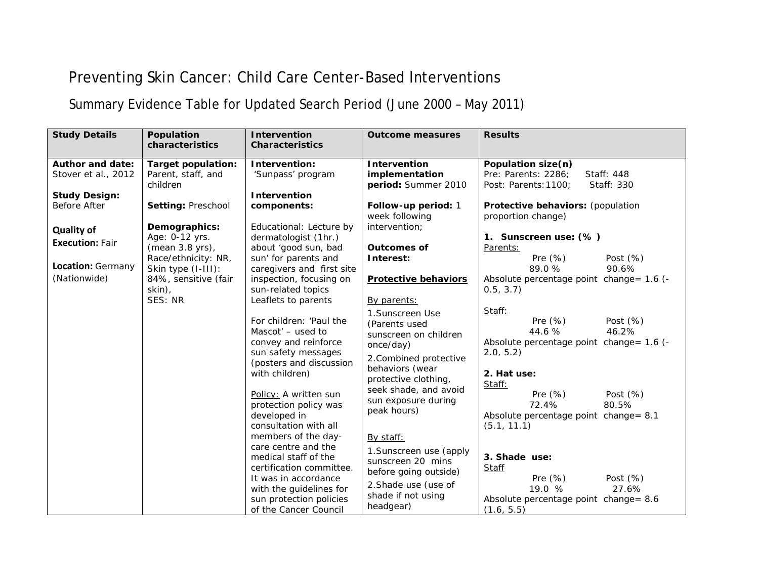## Preventing Skin Cancer: Child Care Center-Based Interventions

Summary Evidence Table for Updated Search Period (June 2000 – May 2011)

| <b>Study Details</b>                                                   | Population<br>characteristics                                             | <b>Intervention</b><br><b>Characteristics</b>                                                                                                                                                         | <b>Outcome measures</b>                                                                                                                       | <b>Results</b>                                                                                                                       |
|------------------------------------------------------------------------|---------------------------------------------------------------------------|-------------------------------------------------------------------------------------------------------------------------------------------------------------------------------------------------------|-----------------------------------------------------------------------------------------------------------------------------------------------|--------------------------------------------------------------------------------------------------------------------------------------|
| <b>Author and date:</b><br>Stover et al., 2012<br><b>Study Design:</b> | <b>Target population:</b><br>Parent, staff, and<br>children               | Intervention:<br>'Sunpass' program<br><b>Intervention</b>                                                                                                                                             | Intervention<br>implementation<br>period: Summer 2010                                                                                         | Population size(n)<br>Pre: Parents: 2286:<br>Staff: 448<br>Post: Parents: 1100;<br>Staff: 330                                        |
| Before After                                                           | Setting: Preschool                                                        | components:                                                                                                                                                                                           | Follow-up period: 1<br>week following<br>intervention;                                                                                        | Protective behaviors: (population<br>proportion change)                                                                              |
| <b>Quality of</b><br><b>Execution: Fair</b>                            | Demographics:<br>Age: 0-12 yrs.<br>(mean 3.8 yrs),<br>Race/ethnicity: NR, | Educational: Lecture by<br>dermatologist (1hr.)<br>about 'good sun, bad<br>sun' for parents and                                                                                                       | <b>Outcomes of</b><br>Interest:                                                                                                               | 1. Sunscreen use: (%)<br>Parents:<br>Pre $(\%)$<br>Post $(\%)$                                                                       |
| Location: Germany<br>(Nationwide)                                      | Skin type (I-III):<br>84%, sensitive (fair<br>skin),<br>SES: NR           | caregivers and first site<br>inspection, focusing on<br>sun-related topics<br>Leaflets to parents                                                                                                     | <b>Protective behaviors</b><br>By parents:                                                                                                    | 89.0%<br>90.6%<br>Absolute percentage point change= 1.6 (-<br>0.5, 3.7)                                                              |
|                                                                        |                                                                           | For children: 'Paul the<br>Mascot' - used to<br>convey and reinforce<br>sun safety messages<br>(posters and discussion<br>with children)                                                              | 1. Sunscreen Use<br>(Parents used<br>sunscreen on children<br>once/day)<br>2. Combined protective<br>behaviors (wear                          | Staff:<br>Pre $(\%)$<br>Post $(\%)$<br>44.6 %<br>46.2%<br>Absolute percentage point change = 1.6 (-<br>2.0, 5.2<br>2. Hat use:       |
|                                                                        |                                                                           | Policy: A written sun<br>protection policy was<br>developed in<br>consultation with all                                                                                                               | protective clothing,<br>seek shade, and avoid<br>sun exposure during<br>peak hours)                                                           | Staff:<br>Pre $(\%)$<br>Post $(\%)$<br>80.5%<br>72.4%<br>Absolute percentage point change= 8.1<br>(5.1, 11.1)                        |
|                                                                        |                                                                           | members of the day-<br>care centre and the<br>medical staff of the<br>certification committee.<br>It was in accordance<br>with the guidelines for<br>sun protection policies<br>of the Cancer Council | By staff:<br>1. Sunscreen use (apply<br>sunscreen 20 mins<br>before going outside)<br>2. Shade use (use of<br>shade if not using<br>headgear) | 3. Shade use:<br><b>Staff</b><br>Pre $(\%)$<br>Post $(\%)$<br>19.0 %<br>27.6%<br>Absolute percentage point change= 8.6<br>(1.6, 5.5) |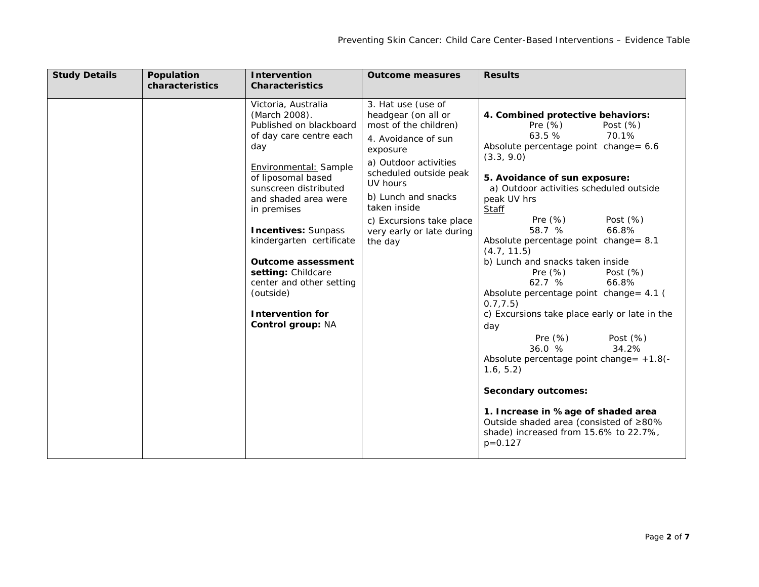| <b>Study Details</b><br>Population<br>characteristics | <b>Intervention</b><br><b>Characteristics</b>                                                                                                                                                                                                                                                                                                                                                                          | <b>Outcome measures</b>                                                                                                                                                                                                                                                         | <b>Results</b>                                                                                                                                                                                                                                                                                                                                                                                                                                                                                                                                                                                                                                                                                                                                                                                                                                  |
|-------------------------------------------------------|------------------------------------------------------------------------------------------------------------------------------------------------------------------------------------------------------------------------------------------------------------------------------------------------------------------------------------------------------------------------------------------------------------------------|---------------------------------------------------------------------------------------------------------------------------------------------------------------------------------------------------------------------------------------------------------------------------------|-------------------------------------------------------------------------------------------------------------------------------------------------------------------------------------------------------------------------------------------------------------------------------------------------------------------------------------------------------------------------------------------------------------------------------------------------------------------------------------------------------------------------------------------------------------------------------------------------------------------------------------------------------------------------------------------------------------------------------------------------------------------------------------------------------------------------------------------------|
|                                                       | Victoria, Australia<br>(March 2008).<br>Published on blackboard<br>of day care centre each<br>day<br>Environmental: Sample<br>of liposomal based<br>sunscreen distributed<br>and shaded area were<br>in premises<br><b>Incentives: Sunpass</b><br>kindergarten certificate<br><b>Outcome assessment</b><br>setting: Childcare<br>center and other setting<br>(outside)<br><b>Intervention for</b><br>Control group: NA | 3. Hat use (use of<br>headgear (on all or<br>most of the children)<br>4. Avoidance of sun<br>exposure<br>a) Outdoor activities<br>scheduled outside peak<br>UV hours<br>b) Lunch and snacks<br>taken inside<br>c) Excursions take place<br>very early or late during<br>the day | 4. Combined protective behaviors:<br>Pre $(\%)$<br>Post $(\%)$<br>63.5 %<br>70.1%<br>Absolute percentage point change= 6.6<br>(3.3, 9.0)<br>5. Avoidance of sun exposure:<br>a) Outdoor activities scheduled outside<br>peak UV hrs<br><b>Staff</b><br>Pre $(\%)$<br>Post $(\%)$<br>58.7 %<br>66.8%<br>Absolute percentage point change = 8.1<br>(4.7, 11.5)<br>b) Lunch and snacks taken inside<br>Pre $(\%)$<br>Post $(\%)$<br>66.8%<br>62.7%<br>Absolute percentage point change = 4.1 (<br>0.7, 7.5)<br>c) Excursions take place early or late in the<br>day<br>Pre $(\%)$<br>Post $(\%)$<br>34.2%<br>36.0%<br>Absolute percentage point change = +1.8(-<br>1.6, 5.2)<br><b>Secondary outcomes:</b><br>1. Increase in %age of shaded area<br>Outside shaded area (consisted of ≥80%<br>shade) increased from 15.6% to 22.7%,<br>$p = 0.127$ |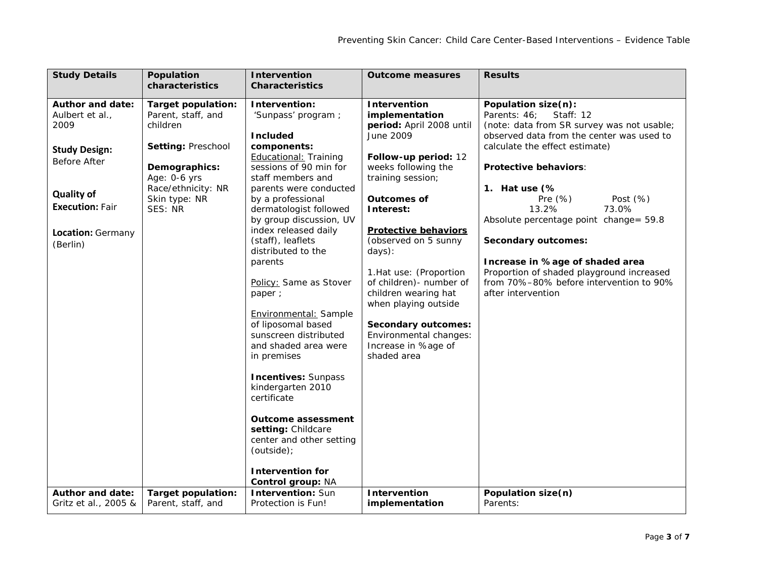| <b>Study Details</b>                                                                                                                                                       | Population<br>characteristics                                                                                                                                        | <b>Intervention</b><br><b>Characteristics</b>                                                                                                                                                                                                                                                                                                                                                                                                                                                                                                                                                                                                              | <b>Outcome measures</b>                                                                                                                                                                                                                                                                                                                                                                                                                                     | <b>Results</b>                                                                                                                                                                                                                                                                                                                                                                                                                                                                                         |
|----------------------------------------------------------------------------------------------------------------------------------------------------------------------------|----------------------------------------------------------------------------------------------------------------------------------------------------------------------|------------------------------------------------------------------------------------------------------------------------------------------------------------------------------------------------------------------------------------------------------------------------------------------------------------------------------------------------------------------------------------------------------------------------------------------------------------------------------------------------------------------------------------------------------------------------------------------------------------------------------------------------------------|-------------------------------------------------------------------------------------------------------------------------------------------------------------------------------------------------------------------------------------------------------------------------------------------------------------------------------------------------------------------------------------------------------------------------------------------------------------|--------------------------------------------------------------------------------------------------------------------------------------------------------------------------------------------------------------------------------------------------------------------------------------------------------------------------------------------------------------------------------------------------------------------------------------------------------------------------------------------------------|
| <b>Author and date:</b><br>Aulbert et al.,<br>2009<br><b>Study Design:</b><br>Before After<br><b>Quality of</b><br><b>Execution: Fair</b><br>Location: Germany<br>(Berlin) | <b>Target population:</b><br>Parent, staff, and<br>children<br>Setting: Preschool<br>Demographics:<br>Age: 0-6 yrs<br>Race/ethnicity: NR<br>Skin type: NR<br>SES: NR | Intervention:<br>'Sunpass' program ;<br><b>Included</b><br>components:<br><b>Educational: Training</b><br>sessions of 90 min for<br>staff members and<br>parents were conducted<br>by a professional<br>dermatologist followed<br>by group discussion, UV<br>index released daily<br>(staff), leaflets<br>distributed to the<br>parents<br>Policy: Same as Stover<br>paper ;<br>Environmental: Sample<br>of liposomal based<br>sunscreen distributed<br>and shaded area were<br>in premises<br><b>Incentives: Sunpass</b><br>kindergarten 2010<br>certificate<br><b>Outcome assessment</b><br>setting: Childcare<br>center and other setting<br>(outside); | <b>Intervention</b><br>implementation<br>period: April 2008 until<br>June 2009<br>Follow-up period: 12<br>weeks following the<br>training session;<br><b>Outcomes of</b><br>Interest:<br><b>Protective behaviors</b><br>(observed on 5 sunny<br>days):<br>1. Hat use: (Proportion<br>of children) - number of<br>children wearing hat<br>when playing outside<br><b>Secondary outcomes:</b><br>Environmental changes:<br>Increase in %age of<br>shaded area | Population size(n):<br>Parents: 46;<br>Staff: 12<br>(note: data from SR survey was not usable;<br>observed data from the center was used to<br>calculate the effect estimate)<br><b>Protective behaviors:</b><br>1. Hat use (%<br>Pre $(\%)$<br>Post $(\%)$<br>13.2%<br>73.0%<br>Absolute percentage point change= 59.8<br><b>Secondary outcomes:</b><br>Increase in %age of shaded area<br>Proportion of shaded playground increased<br>from 70%-80% before intervention to 90%<br>after intervention |
| <b>Author and date:</b><br>Gritz et al., 2005 &                                                                                                                            | <b>Target population:</b><br>Parent, staff, and                                                                                                                      | <b>Intervention for</b><br>Control group: NA<br><b>Intervention: Sun</b><br>Protection is Fun!                                                                                                                                                                                                                                                                                                                                                                                                                                                                                                                                                             | <b>Intervention</b><br>implementation                                                                                                                                                                                                                                                                                                                                                                                                                       | Population size(n)<br>Parents:                                                                                                                                                                                                                                                                                                                                                                                                                                                                         |
|                                                                                                                                                                            |                                                                                                                                                                      |                                                                                                                                                                                                                                                                                                                                                                                                                                                                                                                                                                                                                                                            |                                                                                                                                                                                                                                                                                                                                                                                                                                                             |                                                                                                                                                                                                                                                                                                                                                                                                                                                                                                        |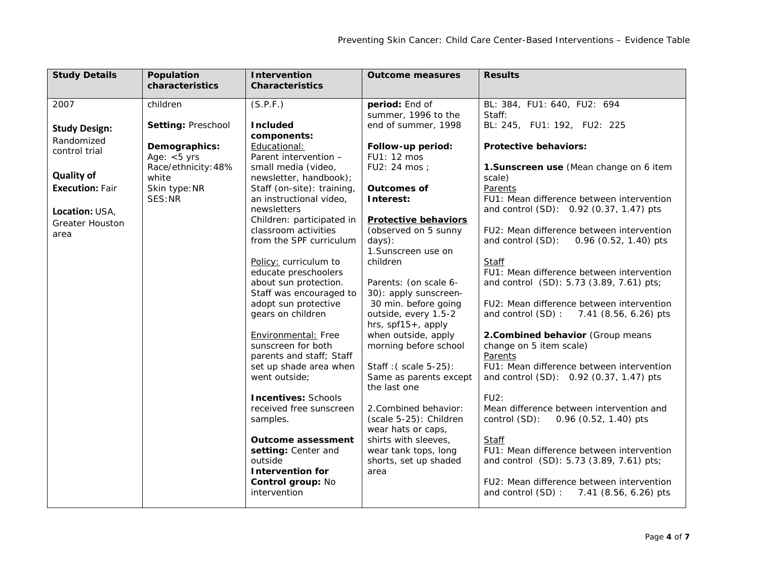| <b>Study Details</b>                                                                                                                                           | Population                                                                                                                                       | <b>Intervention</b>                                                                                                                                                                                                                                                                                                                                                                                                                                                                                                                                                                                                        | <b>Outcome measures</b>                                                                                                                                                                                                                                                                                                                                                                                                                                                                           | <b>Results</b>                                                                                                                                                                                                                                                                                                                                                                                                                                                                                                                                                                                                                                                                                                                    |
|----------------------------------------------------------------------------------------------------------------------------------------------------------------|--------------------------------------------------------------------------------------------------------------------------------------------------|----------------------------------------------------------------------------------------------------------------------------------------------------------------------------------------------------------------------------------------------------------------------------------------------------------------------------------------------------------------------------------------------------------------------------------------------------------------------------------------------------------------------------------------------------------------------------------------------------------------------------|---------------------------------------------------------------------------------------------------------------------------------------------------------------------------------------------------------------------------------------------------------------------------------------------------------------------------------------------------------------------------------------------------------------------------------------------------------------------------------------------------|-----------------------------------------------------------------------------------------------------------------------------------------------------------------------------------------------------------------------------------------------------------------------------------------------------------------------------------------------------------------------------------------------------------------------------------------------------------------------------------------------------------------------------------------------------------------------------------------------------------------------------------------------------------------------------------------------------------------------------------|
|                                                                                                                                                                |                                                                                                                                                  |                                                                                                                                                                                                                                                                                                                                                                                                                                                                                                                                                                                                                            |                                                                                                                                                                                                                                                                                                                                                                                                                                                                                                   |                                                                                                                                                                                                                                                                                                                                                                                                                                                                                                                                                                                                                                                                                                                                   |
| 2007<br><b>Study Design:</b><br>Randomized<br>control trial<br><b>Quality of</b><br><b>Execution: Fair</b><br>Location: USA,<br><b>Greater Houston</b><br>area | characteristics<br>children<br>Setting: Preschool<br>Demographics:<br>Age: $<$ 5 yrs<br>Race/ethnicity: 48%<br>white<br>Skin type: NR<br>SES: NR | <b>Characteristics</b><br>(S.P.F.)<br><b>Included</b><br>components:<br>Educational:<br>Parent intervention -<br>small media (video,<br>newsletter, handbook);<br>Staff (on-site): training,<br>an instructional video,<br>newsletters<br>Children: participated in<br>classroom activities<br>from the SPF curriculum<br>Policy: curriculum to<br>educate preschoolers<br>about sun protection.<br>Staff was encouraged to<br>adopt sun protective<br>gears on children<br>Environmental: Free<br>sunscreen for both<br>parents and staff; Staff<br>set up shade area when<br>went outside;<br><b>Incentives: Schools</b> | period: End of<br>summer, 1996 to the<br>end of summer, 1998<br>Follow-up period:<br>FU1: 12 mos<br>FU2: 24 mos ;<br><b>Outcomes of</b><br>Interest:<br><b>Protective behaviors</b><br>(observed on 5 sunny<br>days):<br>1.Sunscreen use on<br>children<br>Parents: (on scale 6-<br>30): apply sunscreen-<br>30 min. before going<br>outside, every 1.5-2<br>hrs, spf15+, apply<br>when outside, apply<br>morning before school<br>Staff: (scale 5-25):<br>Same as parents except<br>the last one | BL: 384, FU1: 640, FU2: 694<br>Staff:<br>BL: 245, FU1: 192, FU2: 225<br><b>Protective behaviors:</b><br>1. Sunscreen use (Mean change on 6 item<br>scale)<br>Parents<br>FU1: Mean difference between intervention<br>and control (SD): 0.92 (0.37, 1.47) pts<br>FU2: Mean difference between intervention<br>and control (SD):<br>$0.96$ (0.52, 1.40) pts<br>Staff<br>FU1: Mean difference between intervention<br>and control (SD): 5.73 (3.89, 7.61) pts;<br>FU2: Mean difference between intervention<br>and control (SD): 7.41 (8.56, 6.26) pts<br>2. Combined behavior (Group means<br>change on 5 item scale)<br>Parents<br>FU1: Mean difference between intervention<br>and control (SD): 0.92 (0.37, 1.47) pts<br>$FU2$ : |
|                                                                                                                                                                |                                                                                                                                                  | received free sunscreen<br>samples.                                                                                                                                                                                                                                                                                                                                                                                                                                                                                                                                                                                        | 2. Combined behavior:<br>(scale 5-25): Children<br>wear hats or caps,                                                                                                                                                                                                                                                                                                                                                                                                                             | Mean difference between intervention and<br>control (SD):<br>$0.96$ (0.52, 1.40) pts                                                                                                                                                                                                                                                                                                                                                                                                                                                                                                                                                                                                                                              |
|                                                                                                                                                                |                                                                                                                                                  | <b>Outcome assessment</b><br>setting: Center and<br>outside<br><b>Intervention for</b><br>Control group: No<br>intervention                                                                                                                                                                                                                                                                                                                                                                                                                                                                                                | shirts with sleeves,<br>wear tank tops, long<br>shorts, set up shaded<br>area                                                                                                                                                                                                                                                                                                                                                                                                                     | Staff<br>FU1: Mean difference between intervention<br>and control (SD): 5.73 (3.89, 7.61) pts;<br>FU2: Mean difference between intervention<br>and control (SD): 7.41 (8.56, 6.26) pts                                                                                                                                                                                                                                                                                                                                                                                                                                                                                                                                            |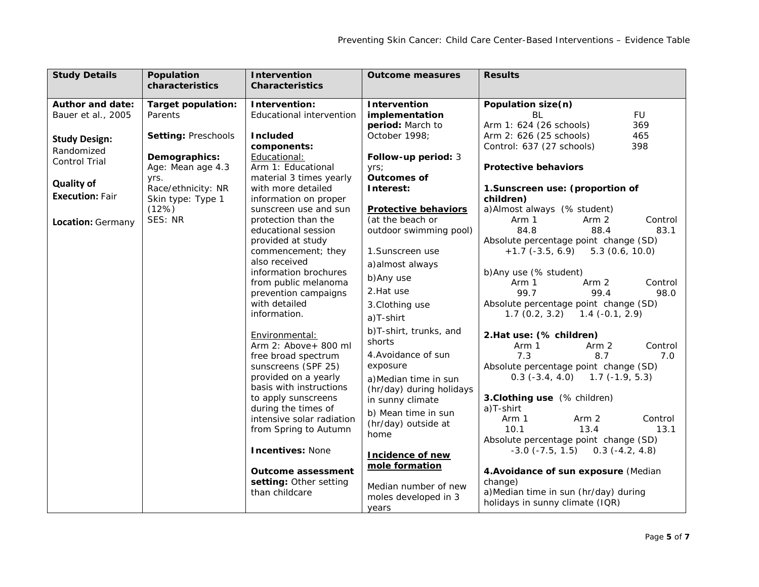| <b>Study Details</b>    | Population<br>characteristics | <b>Intervention</b><br><b>Characteristics</b> | <b>Outcome measures</b>                   | <b>Results</b>                             |
|-------------------------|-------------------------------|-----------------------------------------------|-------------------------------------------|--------------------------------------------|
|                         |                               |                                               |                                           |                                            |
| <b>Author and date:</b> | <b>Target population:</b>     | Intervention:                                 | <b>Intervention</b>                       | Population size(n)                         |
| Bauer et al., 2005      | Parents                       | Educational intervention                      | implementation                            | <b>FU</b><br><b>BL</b>                     |
|                         |                               |                                               | period: March to                          | Arm 1: 624 (26 schools)<br>369             |
| <b>Study Design:</b>    | Setting: Preschools           | <b>Included</b>                               | October 1998;                             | Arm 2: 626 (25 schools)<br>465             |
| Randomized              |                               | components:                                   |                                           | Control: 637 (27 schools)<br>398           |
| <b>Control Trial</b>    | Demographics:                 | Educational:                                  | Follow-up period: 3                       |                                            |
|                         | Age: Mean age 4.3             | Arm 1: Educational                            | yrs;                                      | <b>Protective behaviors</b>                |
| <b>Quality of</b>       | yrs.                          | material 3 times yearly                       | <b>Outcomes of</b>                        |                                            |
|                         | Race/ethnicity: NR            | with more detailed                            | Interest:                                 | 1. Sunscreen use: (proportion of           |
| <b>Execution: Fair</b>  | Skin type: Type 1             | information on proper                         |                                           | children)                                  |
|                         | (12%)                         | sunscreen use and sun                         | <b>Protective behaviors</b>               | a) Almost always (% student)               |
| Location: Germany       | SES: NR                       | protection than the                           | (at the beach or                          | Arm 1<br>Arm 2<br>Control                  |
|                         |                               | educational session                           | outdoor swimming pool)                    | 84.8<br>88.4<br>83.1                       |
|                         |                               | provided at study                             |                                           | Absolute percentage point change (SD)      |
|                         |                               | commencement; they                            | 1. Sunscreen use                          | $+1.7$ (-3.5, 6.9)<br>5.3(0.6, 10.0)       |
|                         |                               | also received                                 | a) almost always                          |                                            |
|                         |                               | information brochures                         | b)Any use                                 | b) Any use (% student)                     |
|                         |                               | from public melanoma                          |                                           | Arm 2<br>Arm 1<br>Control                  |
|                         |                               | prevention campaigns                          | 2. Hat use                                | 99.7<br>99.4<br>98.0                       |
|                         |                               | with detailed                                 | 3. Clothing use                           | Absolute percentage point change (SD)      |
|                         |                               | information.                                  | a)T-shirt                                 | $1.7(0.2, 3.2)$ $1.4(-0.1, 2.9)$           |
|                         |                               | Environmental:                                | b)T-shirt, trunks, and                    | 2. Hat use: (% children)                   |
|                         |                               | Arm 2: Above+ 800 ml                          | shorts                                    | Arm 1<br>Control<br>Arm 2                  |
|                         |                               | free broad spectrum                           | 4. Avoidance of sun                       | 7.3<br>8.7<br>7.0                          |
|                         |                               | sunscreens (SPF 25)                           | exposure                                  | Absolute percentage point change (SD)      |
|                         |                               | provided on a yearly                          | a) Median time in sun                     | $0.3$ (-3.4, 4.0) 1.7 (-1.9, 5.3)          |
|                         |                               | basis with instructions                       | (hr/day) during holidays                  |                                            |
|                         |                               | to apply sunscreens                           | in sunny climate                          | 3. Clothing use (% children)               |
|                         |                               | during the times of                           |                                           | a)T-shirt                                  |
|                         |                               | intensive solar radiation                     | b) Mean time in sun                       | Arm 1<br>Arm 2<br>Control                  |
|                         |                               | from Spring to Autumn                         | (hr/day) outside at                       | 10.1<br>13.4<br>13.1                       |
|                         |                               |                                               | home                                      | Absolute percentage point change (SD)      |
|                         |                               | <b>Incentives: None</b>                       |                                           | $-3.0$ ( $-7.5$ , 1.5) 0.3 ( $-4.2$ , 4.8) |
|                         |                               |                                               | <b>Incidence of new</b><br>mole formation |                                            |
|                         |                               | <b>Outcome assessment</b>                     |                                           | 4. Avoidance of sun exposure (Median       |
|                         |                               | setting: Other setting                        | Median number of new                      | change)                                    |
|                         |                               | than childcare                                | moles developed in 3                      | a) Median time in sun (hr/day) during      |
|                         |                               |                                               |                                           | holidays in sunny climate (IQR)            |
|                         |                               |                                               | years                                     |                                            |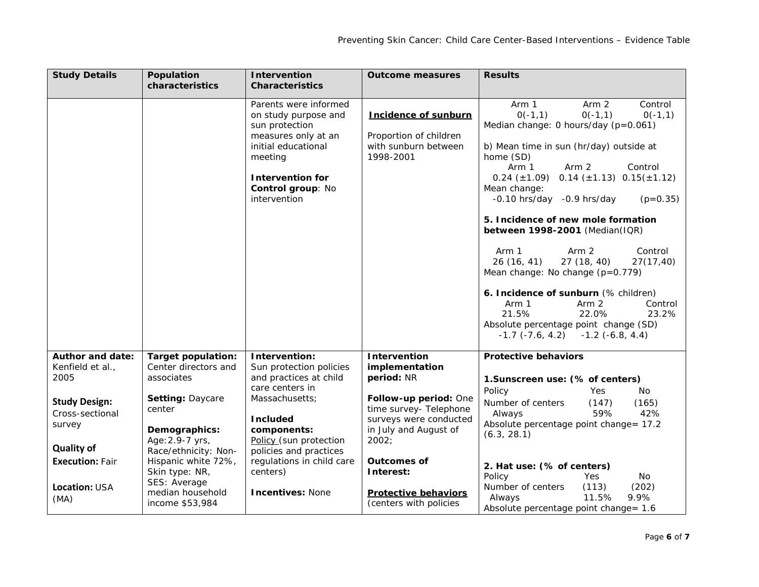| <b>Study Details</b>                                                   | Population<br>characteristics                                  | <b>Intervention</b><br><b>Characteristics</b>                                                                                                                                            | <b>Outcome measures</b>                                                                                     | <b>Results</b>                                                                                                                                                                                                                                                                                                                          |
|------------------------------------------------------------------------|----------------------------------------------------------------|------------------------------------------------------------------------------------------------------------------------------------------------------------------------------------------|-------------------------------------------------------------------------------------------------------------|-----------------------------------------------------------------------------------------------------------------------------------------------------------------------------------------------------------------------------------------------------------------------------------------------------------------------------------------|
|                                                                        |                                                                |                                                                                                                                                                                          |                                                                                                             |                                                                                                                                                                                                                                                                                                                                         |
|                                                                        |                                                                | Parents were informed<br>on study purpose and<br>sun protection<br>measures only at an<br>initial educational<br>meeting<br><b>Intervention for</b><br>Control group: No<br>intervention | <b>Incidence of sunburn</b><br>Proportion of children<br>with sunburn between<br>1998-2001                  | Control<br>Arm 1<br>Arm 2<br>$O(-1, 1)$<br>$O(-1, 1)$<br>$O(-1, 1)$<br>Median change: 0 hours/day (p=0.061)<br>b) Mean time in sun (hr/day) outside at<br>home (SD)<br>Control<br>Arm 1<br>Arm 2<br>$0.24 \ (\pm 1.09) \quad 0.14 \ (\pm 1.13) \quad 0.15 \ (\pm 1.12)$<br>Mean change:<br>$-0.10$ hrs/day $-0.9$ hrs/day<br>$(p=0.35)$ |
|                                                                        |                                                                |                                                                                                                                                                                          |                                                                                                             | 5. Incidence of new mole formation<br>between 1998-2001 (Median(IQR)                                                                                                                                                                                                                                                                    |
|                                                                        |                                                                |                                                                                                                                                                                          |                                                                                                             | Arm 1<br>Arm 2<br>Control<br>26(16, 41)<br>27(18, 40)<br>27(17,40)<br>Mean change: No change $(p=0.779)$                                                                                                                                                                                                                                |
|                                                                        |                                                                |                                                                                                                                                                                          |                                                                                                             | 6. Incidence of sunburn (% children)<br>Control<br>Arm 1<br>Arm 2<br>21.5%<br>23.2%<br>22.0%<br>Absolute percentage point change (SD)<br>$-1.7$ $(-7.6, 4.2)$ $-1.2$ $(-6.8, 4.4)$                                                                                                                                                      |
| <b>Author and date:</b>                                                | <b>Target population:</b>                                      | Intervention:                                                                                                                                                                            | Intervention                                                                                                | <b>Protective behaviors</b>                                                                                                                                                                                                                                                                                                             |
| Kenfield et al.,                                                       | Center directors and                                           | Sun protection policies                                                                                                                                                                  | implementation                                                                                              |                                                                                                                                                                                                                                                                                                                                         |
| 2005                                                                   | associates                                                     | and practices at child                                                                                                                                                                   | period: NR                                                                                                  | 1. Sunscreen use: (% of centers)                                                                                                                                                                                                                                                                                                        |
| <b>Study Design:</b><br>Cross-sectional<br>survey<br><b>Quality of</b> | Setting: Daycare<br>center<br>Demographics:<br>Age: 2.9-7 yrs, | care centers in<br>Massachusetts;<br><b>Included</b><br>components:<br>Policy (sun protection                                                                                            | Follow-up period: One<br>time survey- Telephone<br>surveys were conducted<br>in July and August of<br>2002; | Policy<br>Yes.<br>No.<br>Number of centers<br>(165)<br>(147)<br>59%<br>42%<br>Always<br>Absolute percentage point change= 17.2<br>(6.3, 28.1)                                                                                                                                                                                           |
| <b>Execution: Fair</b>                                                 | Race/ethnicity: Non-<br>Hispanic white 72%,<br>Skin type: NR,  | policies and practices<br>regulations in child care<br>centers)                                                                                                                          | <b>Outcomes of</b><br>Interest:                                                                             | 2. Hat use: (% of centers)<br>Policy<br>Yes<br>No.                                                                                                                                                                                                                                                                                      |
| <b>Location: USA</b><br>(MA)                                           | SES: Average<br>median household<br>income \$53,984            | <b>Incentives: None</b>                                                                                                                                                                  | <b>Protective behaviors</b><br>(centers with policies                                                       | Number of centers<br>(202)<br>(113)<br>11.5%<br>9.9%<br>Always<br>Absolute percentage point change = 1.6                                                                                                                                                                                                                                |